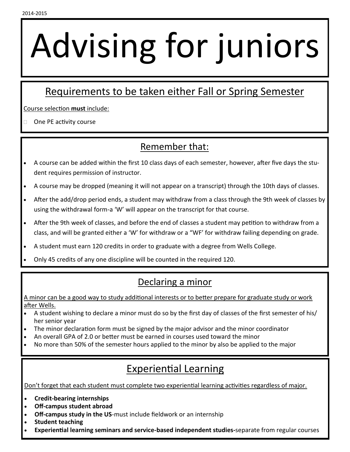# Advising for juniors

## Requirements to be taken either Fall or Spring Semester

Course selection **must** include:

 $\Box$  One PE activity course

#### Remember that:

- A course can be added within the first 10 class days of each semester, however, after five days the student requires permission of instructor.
- A course may be dropped (meaning it will not appear on a transcript) through the 10th days of classes.
- After the add/drop period ends, a student may withdraw from a class through the 9th week of classes by using the withdrawal form-a 'W' will appear on the transcript for that course.
- After the 9th week of classes, and before the end of classes a student may petition to withdraw from a class, and will be granted either a 'W' for withdraw or a "WF' for withdraw failing depending on grade.
- A student must earn 120 credits in order to graduate with a degree from Wells College.
- Only 45 credits of any one discipline will be counted in the required 120.

#### Declaring a minor

A minor can be a good way to study additional interests or to better prepare for graduate study or work after Wells.

- A student wishing to declare a minor must do so by the first day of classes of the first semester of his/ her senior year
- The minor declaration form must be signed by the major advisor and the minor coordinator
- An overall GPA of 2.0 or better must be earned in courses used toward the minor
- No more than 50% of the semester hours applied to the minor by also be applied to the major

### Experiential Learning

Don't forget that each student must complete two experiential learning activities regardless of major.

- **Credit-bearing internships**
- **Off-campus student abroad**
- **Off-campus study in the US**-must include fieldwork or an internship
- **Student teaching**
- **Experiential learning seminars and service-based independent studies-**separate from regular courses